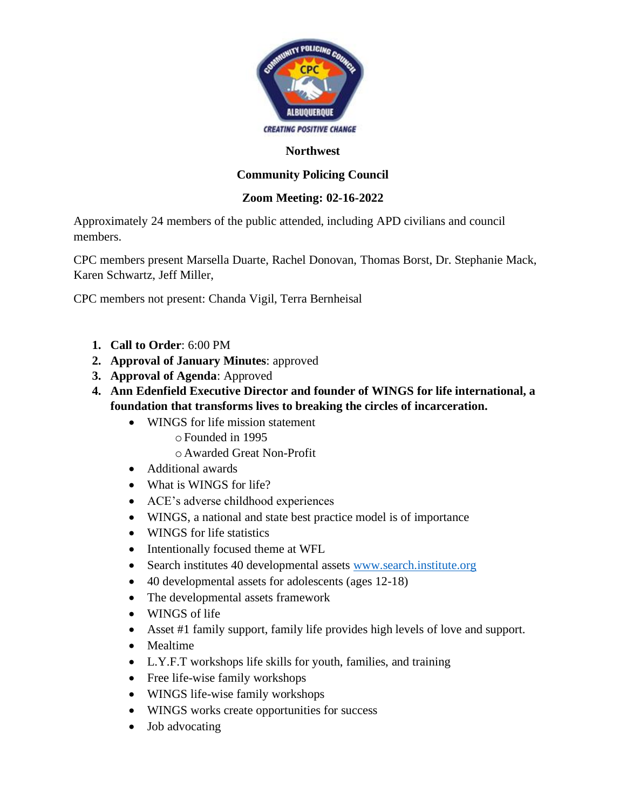

### **Northwest**

## **Community Policing Council**

### **Zoom Meeting: 02-16-2022**

Approximately 24 members of the public attended, including APD civilians and council members.

CPC members present Marsella Duarte, Rachel Donovan, Thomas Borst, Dr. Stephanie Mack, Karen Schwartz, Jeff Miller,

CPC members not present: Chanda Vigil, Terra Bernheisal

- **1. Call to Order**: 6:00 PM
- **2. Approval of January Minutes**: approved
- **3. Approval of Agenda**: Approved
- **4. Ann Edenfield Executive Director and founder of WINGS for life international, a foundation that transforms lives to breaking the circles of incarceration.** 
	- WINGS for life mission statement oFounded in 1995
		- oAwarded Great Non-Profit
	- Additional awards
	- What is WINGS for life?
	- ACE's adverse childhood experiences
	- WINGS, a national and state best practice model is of importance
	- WINGS for life statistics
	- Intentionally focused theme at WFL
	- Search institutes 40 developmental assets [www.search.institute.org](http://www.search.institute.org/)
	- 40 developmental assets for adolescents (ages 12-18)
	- The developmental assets framework
	- WINGS of life
	- Asset #1 family support, family life provides high levels of love and support.
	- Mealtime
	- L.Y.F.T workshops life skills for youth, families, and training
	- Free life-wise family workshops
	- WINGS life-wise family workshops
	- WINGS works create opportunities for success
	- Job advocating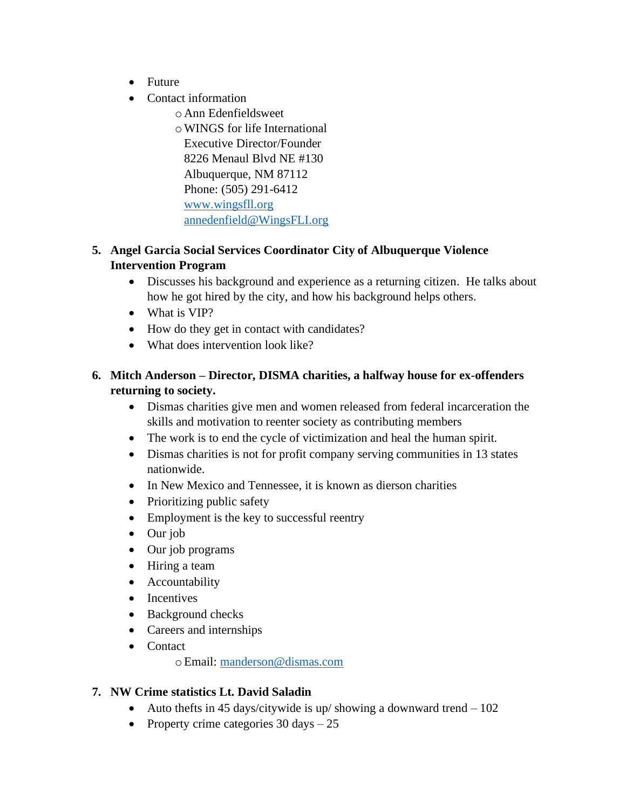- Future
- Contact information
	- oAnn Edenfieldsweet

oWINGS for life International Executive Director/Founder 8226 Menaul Blvd NE #130 Albuquerque, NM 87112 Phone: (505) 291-6412 [www.wingsfll.org](http://www.wingsfll.org/) [annedenfield@WingsFLI.org](mailto:annedenfield@WingsFLI.org)

## **5. Angel Garcia Social Services Coordinator City of Albuquerque Violence Intervention Program**

- Discusses his background and experience as a returning citizen. He talks about how he got hired by the city, and how his background helps others.
- What is VIP?
- How do they get in contact with candidates?
- What does intervention look like?

## **6. Mitch Anderson – Director, DISMA charities, a halfway house for ex-offenders returning to society.**

- Dismas charities give men and women released from federal incarceration the skills and motivation to reenter society as contributing members
- The work is to end the cycle of victimization and heal the human spirit.
- Dismas charities is not for profit company serving communities in 13 states nationwide.
- In New Mexico and Tennessee, it is known as dierson charities
- Prioritizing public safety
- Employment is the key to successful reentry
- Our job
- Our job programs
- Hiring a team
- Accountability
- Incentives
- Background checks
- Careers and internships
- Contact

oEmail: [manderson@dismas.com](mailto:manderson@dismas.com)

## **7. NW Crime statistics Lt. David Saladin**

- Auto thefts in 45 days/citywide is up/ showing a downward trend  $-102$
- Property crime categories  $30 \text{ days} 25$